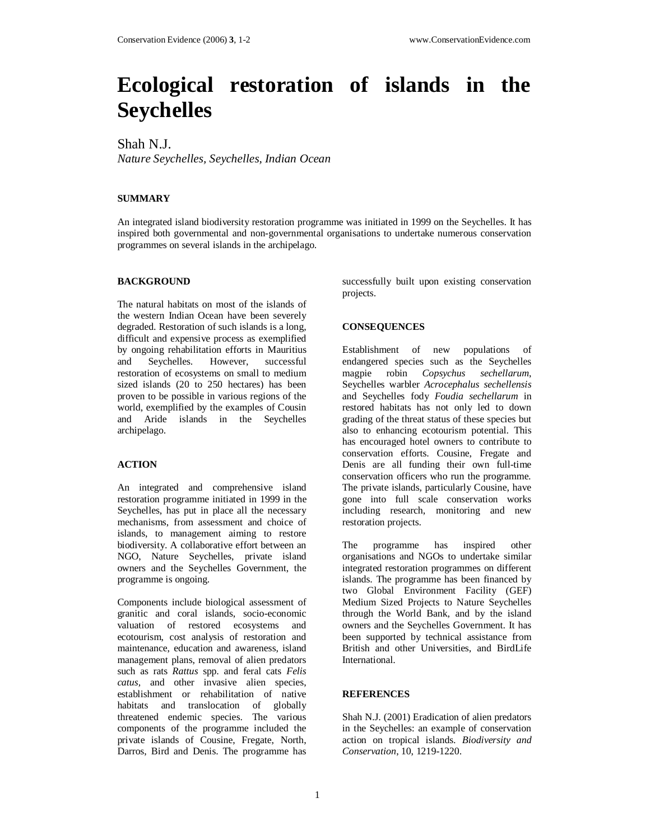# **Ecological restoration of islands in the Seychelles**

Shah N.J.

*Nature Seychelles, Seychelles, Indian Ocean*

## **SUMMARY**

An integrated island biodiversity restoration programme was initiated in 1999 on the Seychelles. It has inspired both governmental and non-governmental organisations to undertake numerous conservation programmes on several islands in the archipelago.

### **BACKGROUND**

The natural habitats on most of the islands of the western Indian Ocean have been severely degraded. Restoration of such islands is a long, difficult and expensive process as exemplified by ongoing rehabilitation efforts in Mauritius and Seychelles. However, successful restoration of ecosystems on small to medium sized islands (20 to 250 hectares) has been proven to be possible in various regions of the world, exemplified by the examples of Cousin and Aride islands in the Seychelles archipelago.

### **ACTION**

An integrated and comprehensive island restoration programme initiated in 1999 in the Seychelles, has put in place all the necessary mechanisms, from assessment and choice of islands, to management aiming to restore biodiversity. A collaborative effort between an NGO, Nature Seychelles, private island owners and the Seychelles Government, the programme is ongoing.

Components include biological assessment of granitic and coral islands, socio-economic valuation of restored ecosystems and ecotourism, cost analysis of restoration and maintenance, education and awareness, island management plans, removal of alien predators such as rats *Rattus* spp. and feral cats *Felis catus,* and other invasive alien species, establishment or rehabilitation of native habitats and translocation of globally threatened endemic species. The various components of the programme included the private islands of Cousine, Fregate, North, Darros, Bird and Denis. The programme has

successfully built upon existing conservation projects.

### **CONSEQUENCES**

Establishment of new populations of endangered species such as the Seychelles magpie robin *Copsychus sechellarum*, Seychelles warbler *Acrocephalus sechellensis* and Seychelles fody *Foudia sechellarum* in restored habitats has not only led to down grading of the threat status of these species but also to enhancing ecotourism potential. This has encouraged hotel owners to contribute to conservation efforts. Cousine, Fregate and Denis are all funding their own full-time conservation officers who run the programme. The private islands, particularly Cousine, have gone into full scale conservation works including research, monitoring and new restoration projects.

The programme has inspired other organisations and NGOs to undertake similar integrated restoration programmes on different islands. The programme has been financed by two Global Environment Facility (GEF) Medium Sized Projects to Nature Seychelles through the World Bank, and by the island owners and the Seychelles Government. It has been supported by technical assistance from British and other Universities, and BirdLife International.

### **REFERENCES**

Shah N.J. (2001) Eradication of alien predators in the Seychelles: an example of conservation action on tropical islands. *Biodiversity and Conservation*, 10, 1219-1220.